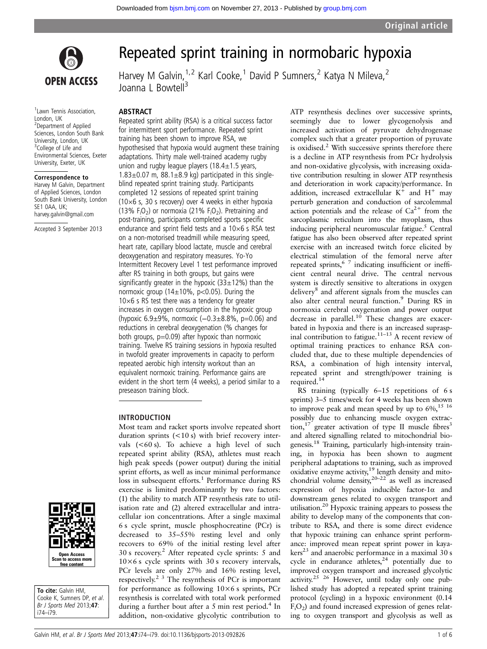

<sup>1</sup> Lawn Tennis Association, London, UK 2 Department of Applied Sciences, London South Bank University, London, UK <sup>3</sup>College of Life and Environmental Sciences, Exeter University, Exeter, UK

#### Correspondence to

Harvey M Galvin, Department of Applied Sciences, London South Bank University, London SE1 0AA, UK; harvey.galvin@gmail.com

Accepted 3 September 2013



Harvey M Galvin,  $1.2$  Karl Cooke, <sup>1</sup> David P Sumners, <sup>2</sup> Katya N Mileva, <sup>2</sup> Joanna L Bowtell<sup>3</sup>

#### ABSTRACT

Repeated sprint ability (RSA) is a critical success factor for intermittent sport performance. Repeated sprint training has been shown to improve RSA, we hypothesised that hypoxia would augment these training adaptations. Thirty male well-trained academy rugby union and rugby league players ( $18.4 \pm 1.5$  years,  $1.83\pm0.07$  m,  $88.1\pm8.9$  kg) participated in this singleblind repeated sprint training study. Participants completed 12 sessions of repeated sprint training (10×6 s, 30 s recovery) over 4 weeks in either hypoxia (13%  $F_1O_2$ ) or normoxia (21%  $F_1O_2$ ). Pretraining and post-training, participants completed sports specific endurance and sprint field tests and a 10×6 s RSA test on a non-motorised treadmill while measuring speed, heart rate, capillary blood lactate, muscle and cerebral deoxygenation and respiratory measures. Yo-Yo Intermittent Recovery Level 1 test performance improved after RS training in both groups, but gains were significantly greater in the hypoxic  $(33\pm12\%)$  than the normoxic group ( $14\pm10\%$ , p<0.05). During the  $10\times6$  s RS test there was a tendency for greater increases in oxygen consumption in the hypoxic group (hypoxic 6.9±9%, normoxic (−0.3±8.8%, p=0.06) and reductions in cerebral deoxygenation (% changes for both groups,  $p=0.09$ ) after hypoxic than normoxic training. Twelve RS training sessions in hypoxia resulted in twofold greater improvements in capacity to perform repeated aerobic high intensity workout than an equivalent normoxic training. Performance gains are evident in the short term (4 weeks), a period similar to a preseason training block.

Most team and racket sports involve repeated short duration sprints (<10 s) with brief recovery intervals  $(<60 s$ ). To achieve a high level of suchrepeated sprint ability (RSA), athletes must reach high peak speeds (power output) during the initial sprint efforts, as well as incur minimal performance loss in subsequent efforts.<sup>1</sup> Performance during RS exercise is limited predominantly by two factors: (1) the ability to match ATP resynthesis rate to utilisation rate and (2) altered extracellular and intracellular ion concentrations. After a single maximal 6 s cycle sprint, muscle phosphocreatine (PCr) is decreased to 35–55% resting level and only recovers to 69% of the initial resting level after 30 s recovery.<sup>2</sup> After repeated cycle sprints: 5 and  $10\times6$  s cycle sprints with 30 s recovery intervals, PCr levels are only 27% and 16% resting level, respectively.2 3 The resynthesis of PCr is important for performance as following 10×6 s sprints, PCr resynthesis is correlated with total work performed during a further bout after a 5 min rest period.<sup>4</sup> In addition, non-oxidative glycolytic contribution to

## INTRODUCTION



To cite: Galvin HM. Cooke K, Sumners DP, et al. Br J Sports Med 2013;47: i74–i79.

ATP resynthesis declines over successive sprints, seemingly due to lower glycogenolysis and increased activation of pyruvate dehydrogenase complex such that a greater proportion of pyruvate is oxidised. $2$  With successive sprints therefore there is a decline in ATP resynthesis from PCr hydrolysis and non-oxidative glycolysis, with increasing oxidative contribution resulting in slower ATP resynthesis and deterioration in work capacity/performance. In addition, increased extracellular  $K^+$  and  $H^+$  may perturb generation and conduction of sarcolemmal action potentials and the release of  $Ca^{2+}$  from the sarcoplasmic reticulum into the myoplasm, thus inducing peripheral neuromuscular fatigue.<sup>5</sup> Central fatigue has also been observed after repeated sprint exercise with an increased twitch force elicited by electrical stimulation of the femoral nerve after repeated sprints,  $67$  indicating insufficient or inefficient central neural drive. The central nervous system is directly sensitive to alterations in oxygen delivery<sup>8</sup> and afferent signals from the muscles can also alter central neural function.<sup>9</sup> During RS in normoxia cerebral oxygenation and power output decrease in parallel.<sup>10</sup> These changes are exacerbated in hypoxia and there is an increased supraspinal contribution to fatigue.<sup>11-13</sup> A recent review of optimal training practices to enhance RSA concluded that, due to these multiple dependencies of RSA, a combination of high intensity interval, repeated sprint and strength/power training is required.14

RS training (typically 6–15 repetitions of 6 s sprints) 3–5 times/week for 4 weeks has been shown to improve peak and mean speed by up to  $6\%$ ,<sup>15 16</sup> possibly due to enhancing muscle oxygen extraction,<sup>17</sup> greater activation of type II muscle fibres<sup>3</sup> and altered signalling related to mitochondrial biogenesis.18 Training, particularly high-intensity training, in hypoxia has been shown to augment peripheral adaptations to training, such as improved oxidative enzyme activity, $19$  length density and mitochondrial volume density,  $20-22$  as well as increased expression of hypoxia inducible factor-1 $\alpha$  and downstream genes related to oxygen transport and utilisation.<sup>20</sup> Hypoxic training appears to possess the ability to develop many of the components that contribute to RSA, and there is some direct evidence that hypoxic training can enhance sprint performance: improved mean repeat sprint power in kaya $kers<sup>23</sup>$  and anaerobic performance in a maximal 30 s cycle in endurance athletes,<sup>24</sup> potentially due to improved oxygen transport and increased glycolytic activity.<sup>25 26</sup> However, until today only one published study has adopted a repeated sprint training protocol (cycling) in a hypoxic environment (0.14  $F<sub>i</sub>O<sub>2</sub>$ ) and found increased expression of genes relating to oxygen transport and glycolysis as well as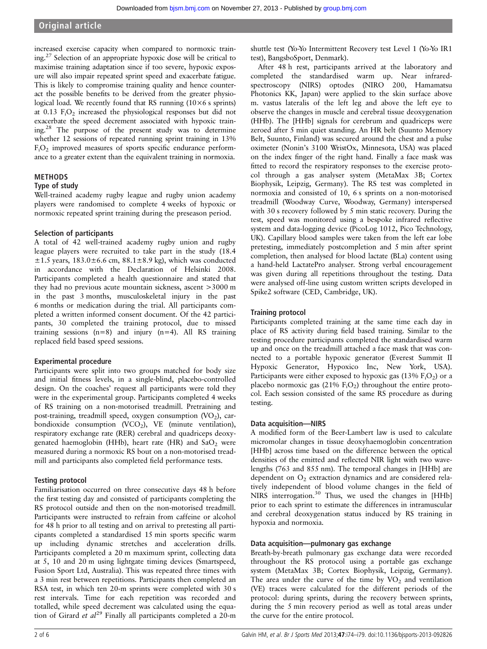# Original article

increased exercise capacity when compared to normoxic training.27 Selection of an appropriate hypoxic dose will be critical to maximise training adaptation since if too severe, hypoxic exposure will also impair repeated sprint speed and exacerbate fatigue. This is likely to compromise training quality and hence counteract the possible benefits to be derived from the greater physiological load. We recently found that RS running  $(10\times6 s)$  sprints) at  $0.13$  F<sub>i</sub>O<sub>2</sub> increased the physiological responses but did not exacerbate the speed decrement associated with hypoxic training.28 The purpose of the present study was to determine whether 12 sessions of repeated running sprint training in 13%  $F_iO_2$  improved measures of sports specific endurance performance to a greater extent than the equivalent training in normoxia.

# METHODS

# Type of study

Well-trained academy rugby league and rugby union academy players were randomised to complete 4 weeks of hypoxic or normoxic repeated sprint training during the preseason period.

# Selection of participants

A total of 42 well-trained academy rugby union and rugby league players were recruited to take part in the study (18.4  $\pm 1.5$  years,  $183.0 \pm 6.6$  cm,  $88.1 \pm 8.9$  kg), which was conducted in accordance with the Declaration of Helsinki 2008. Participants completed a health questionnaire and stated that they had no previous acute mountain sickness, ascent >3000 m in the past 3 months, musculoskeletal injury in the past 6 months or medication during the trial. All participants completed a written informed consent document. Of the 42 participants, 30 completed the training protocol, due to missed training sessions  $(n=8)$  and injury  $(n=4)$ . All RS training replaced field based speed sessions.

# Experimental procedure

Participants were split into two groups matched for body size and initial fitness levels, in a single-blind, placebo-controlled design. On the coaches' request all participants were told they were in the experimental group. Participants completed 4 weeks of RS training on a non-motorised treadmill. Pretraining and post-training, treadmill speed, oxygen consumption  $(VO<sub>2</sub>)$ , carbondioxide consumption  $(VCO<sub>2</sub>)$ , VE (minute ventilation), respiratory exchange rate (RER) cerebral and quadriceps deoxygenated haemoglobin (HHb), heart rate (HR) and  $SaO<sub>2</sub>$  were measured during a normoxic RS bout on a non-motorised treadmill and participants also completed field performance tests.

# Testing protocol

Familiarisation occurred on three consecutive days 48 h before the first testing day and consisted of participants completing the RS protocol outside and then on the non-motorised treadmill. Participants were instructed to refrain from caffeine or alcohol for 48 h prior to all testing and on arrival to pretesting all participants completed a standardised 15 min sports specific warm up including dynamic stretches and acceleration drills. Participants completed a 20 m maximum sprint, collecting data at 5, 10 and 20 m using lightgate timing devices (Smartspeed, Fusion Sport Ltd, Australia). This was repeated three times with a 3 min rest between repetitions. Participants then completed an RSA test, in which ten 20-m sprints were completed with 30 s rest intervals. Time for each repetition was recorded and totalled, while speed decrement was calculated using the equation of Girard et  $al^{29}$  Finally all participants completed a 20-m

shuttle test (Yo-Yo Intermittent Recovery test Level 1 (Yo-Yo IR1 test), BangsboSport, Denmark).

After 48 h rest, participants arrived at the laboratory and completed the standardised warm up. Near infraredspectroscopy (NIRS) optodes (NIRO 200, Hamamatsu Photonics KK, Japan) were applied to the skin surface above m. vastus lateralis of the left leg and above the left eye to observe the changes in muscle and cerebral tissue deoxygenation (HHb). The [HHb] signals for cerebrum and quadriceps were zeroed after 5 min quiet standing. An HR belt (Suunto Memory Belt, Suunto, Finland) was secured around the chest and a pulse oximeter (Nonin's 3100 WristOx, Minnesota, USA) was placed on the index finger of the right hand. Finally a face mask was fitted to record the respiratory responses to the exercise protocol through a gas analyser system (MetaMax 3B; Cortex Biophysik, Leipzig, Germany). The RS test was completed in normoxia and consisted of 10, 6 s sprints on a non-motorised treadmill (Woodway Curve, Woodway, Germany) interspersed with 30 s recovery followed by 5 min static recovery. During the test, speed was monitored using a bespoke infrared reflective system and data-logging device (PicoLog 1012, Pico Technology, UK). Capillary blood samples were taken from the left ear lobe pretesting, immediately postcompletion and 5 min after sprint completion, then analysed for blood lactate (BLa) content using a hand-held LactatePro analyser. Strong verbal encouragement was given during all repetitions throughout the testing. Data were analysed off-line using custom written scripts developed in Spike2 software (CED, Cambridge, UK).

# Training protocol

Participants completed training at the same time each day in place of RS activity during field based training. Similar to the testing procedure participants completed the standardised warm up and once on the treadmill attached a face mask that was connected to a portable hypoxic generator (Everest Summit II Hypoxic Generator, Hypoxico Inc, New York, USA). Participants were either exposed to hypoxic gas  $(13\%$   $F_1O_2)$  or a placebo normoxic gas  $(21\% \text{ F}_{i}O_{2})$  throughout the entire protocol. Each session consisted of the same RS procedure as during testing.

# Data acquisition—NIRS

A modified form of the Beer-Lambert law is used to calculate micromolar changes in tissue deoxyhaemoglobin concentration [HHb] across time based on the difference between the optical densities of the emitted and reflected NIR light with two wavelengths (763 and 855 nm). The temporal changes in [HHb] are dependent on  $O<sub>2</sub>$  extraction dynamics and are considered relatively independent of blood volume changes in the field of NIRS interrogation.<sup>30</sup> Thus, we used the changes in [HHb] prior to each sprint to estimate the differences in intramuscular and cerebral deoxygenation status induced by RS training in hypoxia and normoxia.

## Data acquisition—pulmonary gas exchange

Breath-by-breath pulmonary gas exchange data were recorded throughout the RS protocol using a portable gas exchange system (MetaMax 3B; Cortex Biophysik, Leipzig, Germany). The area under the curve of the time by  $VO<sub>2</sub>$  and ventilation (VE) traces were calculated for the different periods of the protocol: during sprints, during the recovery between sprints, during the 5 min recovery period as well as total areas under the curve for the entire protocol.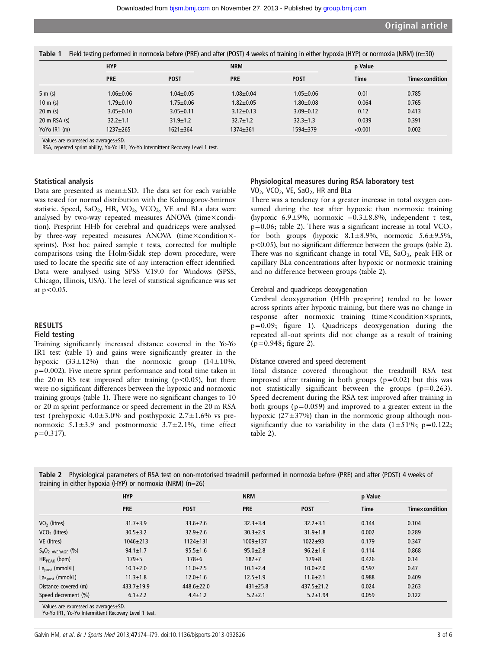|                          | <b>HYP</b>      |                 | <b>NRM</b>      |                 | p Value |                       |
|--------------------------|-----------------|-----------------|-----------------|-----------------|---------|-----------------------|
|                          | <b>PRE</b>      | <b>POST</b>     | <b>PRE</b>      | <b>POST</b>     | Time    | <b>Time×condition</b> |
| 5 m(s)                   | $1.06 \pm 0.06$ | $1.04 \pm 0.05$ | $1.08 + 0.04$   | $1.05 + 0.06$   | 0.01    | 0.785                 |
| $10 \text{ m}$ (s)       | $1.79 \pm 0.10$ | $1.75 \pm 0.06$ | $1.82 + 0.05$   | $1.80 + 0.08$   | 0.064   | 0.765                 |
| $20 \text{ m}$ (s)       | $3.05 \pm 0.10$ | $3.05 \pm 0.11$ | $3.12 \pm 0.13$ | $3.09 \pm 0.12$ | 0.12    | 0.413                 |
| $20 \text{ m}$ RSA $(s)$ | $32.2 \pm 1.1$  | $31.9 \pm 1.2$  | $32.7 \pm 1.2$  | $32.3 \pm 1.3$  | 0.039   | 0.391                 |
| YoYo IR1 (m)             | 1237±265        | $1621 \pm 364$  | $1374 \pm 361$  | 1594±379        | < 0.001 | 0.002                 |

Values are expressed as averages±SD.

RSA, repeated sprint ability, Yo-Yo IR1, Yo-Yo Intermittent Recovery Level 1 test.

## Statistical analysis

Data are presented as mean±SD. The data set for each variable was tested for normal distribution with the Kolmogorov-Smirnov statistic. Speed,  $SaO_2$ , HR,  $VO_2$ ,  $VCO_2$ , VE and BLa data were analysed by two-way repeated measures ANOVA (time×condition). Presprint HHb for cerebral and quadriceps were analysed by three-way repeated measures ANOVA (time×condition×sprints). Post hoc paired sample t tests, corrected for multiple comparisons using the Holm-Sidak step down procedure, were used to locate the specific site of any interaction effect identified. Data were analysed using SPSS V.19.0 for Windows (SPSS, Chicago, Illinois, USA). The level of statistical significance was set at  $p < 0.05$ .

#### **RESULTS**

## Field testing

Training significantly increased distance covered in the Yo-Yo IR1 test (table 1) and gains were significantly greater in the hypoxic  $(33\pm12\%)$  than the normoxic group  $(14\pm10\%)$ , p=0.002). Five metre sprint performance and total time taken in the 20 m RS test improved after training ( $p < 0.05$ ), but there were no significant differences between the hypoxic and normoxic training groups (table 1). There were no significant changes to 10 or 20 m sprint performance or speed decrement in the 20 m RSA test (prehypoxic  $4.0 \pm 3.0\%$  and posthypoxic  $2.7 \pm 1.6\%$  vs prenormoxic  $5.1 \pm 3.9$  and postnormoxic  $3.7 \pm 2.1$ %, time effect  $p=0.317$ ).

## Physiological measures during RSA laboratory test VO<sub>2</sub>, VCO<sub>2</sub>, VE, SaO<sub>2</sub>, HR and BLa

There was a tendency for a greater increase in total oxygen consumed during the test after hypoxic than normoxic training (hypoxic 6.9±9%, normoxic −0.3±8.8%, independent t test,  $p=0.06$ ; table 2). There was a significant increase in total VCO<sub>2</sub> for both groups (hypoxic  $8.1 \pm 8.9\%$ , normoxic  $5.6 \pm 9.5\%$ , p<0.05), but no significant difference between the groups (table 2). There was no significant change in total VE,  $SaO<sub>2</sub>$ , peak HR or capillary BLa concentrations after hypoxic or normoxic training and no difference between groups (table 2).

#### Cerebral and quadriceps deoxygenation

Cerebral deoxygenation (HHb presprint) tended to be lower across sprints after hypoxic training, but there was no change in response after normoxic training (time×condition×sprints, p=0.09; figure 1). Quadriceps deoxygenation during the repeated all-out sprints did not change as a result of training (p=0.948; figure 2).

#### Distance covered and speed decrement

Total distance covered throughout the treadmill RSA test improved after training in both groups  $(p=0.02)$  but this was not statistically significant between the groups (p=0.263). Speed decrement during the RSA test improved after training in both groups ( $p=0.059$ ) and improved to a greater extent in the hypoxic (27±37%) than in the normoxic group although nonsignificantly due to variability in the data  $(1\pm51\%; p=0.122;$ table 2).

|                           | <b>HYP</b>       |                  | <b>NRM</b>     |                  | p Value     |                |
|---------------------------|------------------|------------------|----------------|------------------|-------------|----------------|
|                           | <b>PRE</b>       | <b>POST</b>      | <b>PRE</b>     | <b>POST</b>      | <b>Time</b> | Timexcondition |
| $VO2$ (litres)            | $31.7 \pm 3.9$   | $33.6 \pm 2.6$   | $32.3 \pm 3.4$ | $32.2 \pm 3.1$   | 0.144       | 0.104          |
| VCO <sub>2</sub> (litres) | $30.5 \pm 3.2$   | $32.9 \pm 2.6$   | $30.3 \pm 2.9$ | $31.9 \pm 1.8$   | 0.002       | 0.289          |
| VE (litres)               | $1046 \pm 213$   | $1124 + 131$     | 1009±137       | $1022 + 93$      | 0.179       | 0.347          |
| $S_aO_2$ AVERAGE $(\%)$   | $94.1 \pm 1.7$   | $95.5 \pm 1.6$   | $95.0 \pm 2.8$ | $96.2 \pm 1.6$   | 0.114       | 0.868          |
| $HR_{PFAK}$ (bpm)         | $179 + 5$        | $178 + 6$        | $182 + 7$      | $179 + 8$        | 0.426       | 0.14           |
| $Lapost$ (mmol/L)         | $10.1 \pm 2.0$   | $11.0 \pm 2.5$   | $10.1 \pm 2.4$ | $10.0 + 2.0$     | 0.597       | 0.47           |
| $La5post$ (mmol/L)        | $11.3 \pm 1.8$   | $12.0 \pm 1.6$   | $12.5 \pm 1.9$ | $11.6 \pm 2.1$   | 0.988       | 0.409          |
| Distance covered (m)      | $433.7 \pm 19.9$ | $448.6 \pm 22.0$ | $431 \pm 25.8$ | $437.5 \pm 21.2$ | 0.024       | 0.263          |
| Speed decrement (%)       | $6.1 \pm 2.2$    | $4.4 \pm 1.2$    | $5.2 \pm 2.1$  | $5.2 \pm 1.94$   | 0.059       | 0.122          |

Table 2 Physiological parameters of RSA test on non-motorised treadmill performed in normoxia before (PRE) and after (POST) 4 weeks of  $t_{\text{minmax}}$  in either hypoxia (HYP) or normoxia (NRM) (n=26)

Values are expressed as averages±SD.

Yo-Yo IR1, Yo-Yo Intermittent Recovery Level 1 test.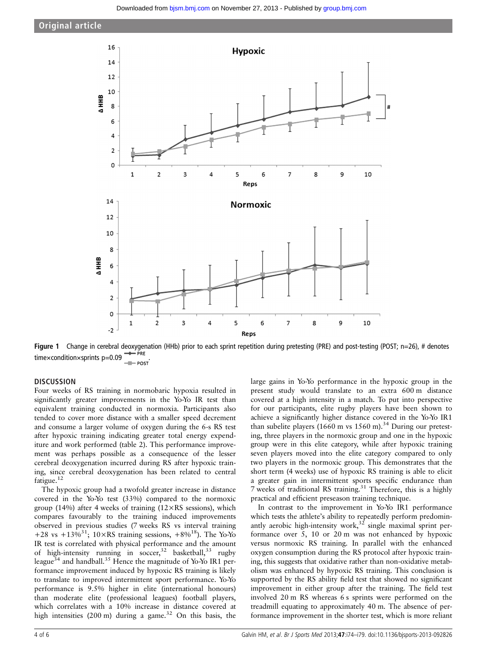



Figure 1 Change in cerebral deoxygenation (HHb) prior to each sprint repetition during pretesting (PRE) and post-testing (POST; n=26), # denotes time×condition×sprints p=0.09

# **DISCUSSION**

Four weeks of RS training in normobaric hypoxia resulted in significantly greater improvements in the Yo-Yo IR test than equivalent training conducted in normoxia. Participants also tended to cover more distance with a smaller speed decrement and consume a larger volume of oxygen during the 6-s RS test after hypoxic training indicating greater total energy expenditure and work performed (table 2). This performance improvement was perhaps possible as a consequence of the lesser cerebral deoxygenation incurred during RS after hypoxic training, since cerebral deoxygenation has been related to central fatigue.<sup>12</sup>

The hypoxic group had a twofold greater increase in distance covered in the Yo-Yo test (33%) compared to the normoxic group (14%) after 4 weeks of training ( $12 \times RS$  sessions), which compares favourably to the training induced improvements observed in previous studies (7 weeks RS vs interval training +28 vs +13%<sup>31</sup>; 10×RS training sessions, +8%<sup>18</sup>). The Yo-Yo IR test is correlated with physical performance and the amount of high-intensity running in soccer,<sup>32</sup> basketball,<sup>33</sup> rugby league<sup>34</sup> and handball.<sup>35</sup> Hence the magnitude of Yo-Yo IR1 performance improvement induced by hypoxic RS training is likely to translate to improved intermittent sport performance. Yo-Yo performance is 9.5% higher in elite (international honours) than moderate elite (professional leagues) football players, which correlates with a 10% increase in distance covered at high intensities  $(200 \text{ m})$  during a game.<sup>32</sup> On this basis, the

large gains in Yo-Yo performance in the hypoxic group in the present study would translate to an extra 600 m distance covered at a high intensity in a match. To put into perspective for our participants, elite rugby players have been shown to achieve a significantly higher distance covered in the Yo-Yo IR1 than subelite players (1660 m vs  $1560$  m).<sup>34</sup> During our pretesting, three players in the normoxic group and one in the hypoxic group were in this elite category, while after hypoxic training seven players moved into the elite category compared to only two players in the normoxic group. This demonstrates that the short term (4 weeks) use of hypoxic RS training is able to elicit a greater gain in intermittent sports specific endurance than 7 weeks of traditional RS training.<sup>31</sup> Therefore, this is a highly practical and efficient preseason training technique.

In contrast to the improvement in Yo-Yo IR1 performance which tests the athlete's ability to repeatedly perform predominantly aerobic high-intensity work,  $32$  single maximal sprint performance over 5, 10 or 20 m was not enhanced by hypoxic versus normoxic RS training. In parallel with the enhanced oxygen consumption during the RS protocol after hypoxic training, this suggests that oxidative rather than non-oxidative metabolism was enhanced by hypoxic RS training. This conclusion is supported by the RS ability field test that showed no significant improvement in either group after the training. The field test involved 20 m RS whereas 6 s sprints were performed on the treadmill equating to approximately 40 m. The absence of performance improvement in the shorter test, which is more reliant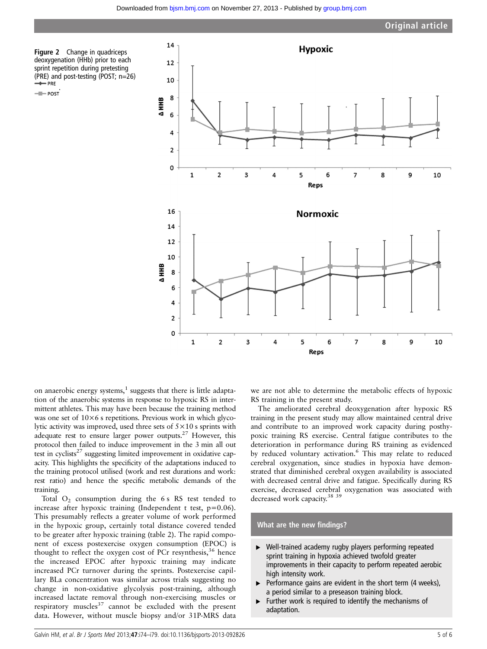Figure 2 Change in quadriceps deoxygenation (HHb) prior to each sprint repetition during pretesting (PRE) and post-testing (POST; n=26)

- POST



on anaerobic energy systems, $<sup>1</sup>$  suggests that there is little adapta-</sup> tion of the anaerobic systems in response to hypoxic RS in intermittent athletes. This may have been because the training method was one set of  $10\times6$  s repetitions. Previous work in which glycolytic activity was improved, used three sets of 5×10 s sprints with adequate rest to ensure larger power outputs.27 However, this protocol then failed to induce improvement in the 3 min all out test in cyclists<sup>27</sup> suggesting limited improvement in oxidative capacity. This highlights the specificity of the adaptations induced to the training protocol utilised (work and rest durations and work: rest ratio) and hence the specific metabolic demands of the training.

Total  $O_2$  consumption during the 6 s RS test tended to increase after hypoxic training (Independent t test, p=0.06). This presumably reflects a greater volume of work performed in the hypoxic group, certainly total distance covered tended to be greater after hypoxic training (table 2). The rapid component of excess postexercise oxygen consumption (EPOC) is thought to reflect the oxygen cost of PCr resynthesis,  $36$  hence the increased EPOC after hypoxic training may indicate increased PCr turnover during the sprints. Postexercise capillary BLa concentration was similar across trials suggesting no change in non-oxidative glycolysis post-training, although increased lactate removal through non-exercising muscles or respiratory muscles<sup>37</sup> cannot be excluded with the present data. However, without muscle biopsy and/or 31P-MRS data

we are not able to determine the metabolic effects of hypoxic RS training in the present study.

The ameliorated cerebral deoxygenation after hypoxic RS training in the present study may allow maintained central drive and contribute to an improved work capacity during posthypoxic training RS exercise. Central fatigue contributes to the deterioration in performance during RS training as evidenced by reduced voluntary activation.<sup>6</sup> This may relate to reduced cerebral oxygenation, since studies in hypoxia have demonstrated that diminished cerebral oxygen availability is associated with decreased central drive and fatigue. Specifically during RS exercise, decreased cerebral oxygenation was associated with decreased work capacity.<sup>38</sup> <sup>39</sup>

## What are the new findings?

- ▸ Well-trained academy rugby players performing repeated sprint training in hypoxia achieved twofold greater improvements in their capacity to perform repeated aerobic high intensity work.
- $\blacktriangleright$  Performance gains are evident in the short term (4 weeks), a period similar to a preseason training block.
- ▸ Further work is required to identify the mechanisms of adaptation.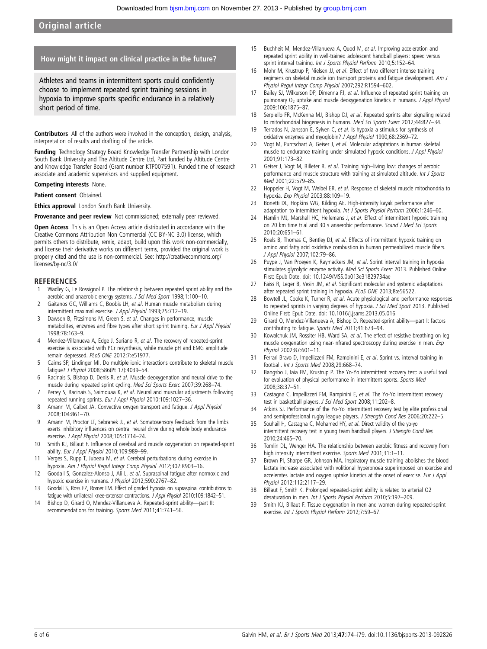# Original article

## How might it impact on clinical practice in the future?

Athletes and teams in intermittent sports could confidently choose to implement repeated sprint training sessions in hypoxia to improve sports specific endurance in a relatively short period of time.

Contributors All of the authors were involved in the conception, design, analysis, interpretation of results and drafting of the article.

Funding Technology Strategy Board Knowledge Transfer Partnership with London South Bank University and The Altitude Centre Ltd, Part funded by Altitude Centre and Knowledge Transfer Board (Grant number KTP007591). Funded time of research associate and academic supervisors and supplied equipment.

#### Competing interests None.

Patient consent Obtained.

**Ethics approval** London South Bank University.

#### Provenance and peer review Not commissioned; externally peer reviewed.

Open Access This is an Open Access article distributed in accordance with the Creative Commons Attribution Non Commercial (CC BY-NC 3.0) license, which permits others to distribute, remix, adapt, build upon this work non-commercially, and license their derivative works on different terms, provided the original work is properly cited and the use is non-commercial. See: [http://creativecommons.org/](http://creativecommons.org/licenses/by-nc/3.0/) [licenses/by-nc/3.0/](http://creativecommons.org/licenses/by-nc/3.0/)

#### **REFERENCES**

- Wadley G, Le Rossignol P. The relationship between repeated sprint ability and the aerobic and anaerobic energy systems. J Sci Med Sport 1998;1:100-10.
- 2 Gaitanos GC, Williams C, Boobis LH, et al. Human muscle metabolism during intermittent maximal exercise. J Appl Physiol 1993;75:712–19.
- 3 Dawson B, Fitzsimons M, Green S, et al. Changes in performance, muscle metabolites, enzymes and fibre types after short sprint training. Eur J Appl Physiol 1998;78:163–9.
- 4 Mendez-Villanueva A, Edge J, Suriano R, et al. The recovery of repeated-sprint exercise is associated with PCr resynthesis, while muscle pH and EMG amplitude remain depressed. PLoS ONE 2012;7:e51977.
- 5 Cairns SP, Lindinger MI. Do multiple ionic interactions contribute to skeletal muscle fatigue? J Physiol 2008;586(Pt 17):4039–54.
- 6 Racinais S, Bishop D, Denis R, et al. Muscle deoxygenation and neural drive to the muscle during repeated sprint cycling. Med Sci Sports Exerc 2007;39:268–74.
- 7 Perrey S, Racinais S, Saimouaa K, et al. Neural and muscular adjustments following repeated running sprints. Eur J Appl Physiol 2010;109:1027–36.
- 8 Amann M, Calbet JA. Convective oxygen transport and fatigue. J Appl Physiol 2008;104:861–70.
- 9 Amann M, Proctor LT, Sebranek JJ, et al. Somatosensory feedback from the limbs exerts inhibitory influences on central neural drive during whole body endurance exercise. J Appl Physiol 2008;105:1714–24.
- 10 Smith KJ, Billaut F. Influence of cerebral and muscle oxygenation on repeated-sprint ability. Eur J Appl Physiol 2010;109:989-99.
- 11 Verges S, Rupp T, Jubeau M, et al. Cerebral perturbations during exercise in hypoxia. Am J Physiol Regul Integr Comp Physiol 2012;302:R903–16.
- 12 Goodall S, Gonzalez-Alonso J, Ali L, et al. Supraspinal fatigue after normoxic and hypoxic exercise in humans. J Physiol 2012;590:2767-82.
- 13 Goodall S, Ross EZ, Romer LM. Effect of graded hypoxia on supraspinal contributions to fatigue with unilateral knee-extensor contractions. J Appl Physiol 2010;109:1842–51.
- 14 Bishop D, Girard O, Mendez-Villanueva A. Repeated-sprint ability—part II: recommendations for training. Sports Med 2011;41:741–56.
- 15 Buchheit M, Mendez-Villanueva A, Quod M, et al. Improving acceleration and repeated sprint ability in well-trained adolescent handball players: speed versus sprint interval training. Int J Sports Physiol Perform 2010;5:152-64.
- 16 Mohr M, Krustrup P, Nielsen JJ, et al. Effect of two different intense training regimens on skeletal muscle ion transport proteins and fatigue development. Am J Physiol Regul Integr Comp Physiol 2007;292:R1594–602.
- Bailey SJ, Wilkerson DP, Dimenna FJ, et al. Influence of repeated sprint training on pulmonary O<sub>2</sub> uptake and muscle deoxygenation kinetics in humans. J Appl Physiol 2009;106:1875–87.
- 18 Serpiello FR, McKenna MJ, Bishop DJ, et al. Repeated sprints alter signaling related to mitochondrial biogenesis in humans. Med Sci Sports Exerc 2012;44:827-34.
- 19 Terrados N, Jansson E, Sylven C, et al. Is hypoxia a stimulus for synthesis of oxidative enzymes and myoglobin? J Appl Physiol 1990;68:2369–72.
- 20 Vogt M, Puntschart A, Geiser J, et al. Molecular adaptations in human skeletal muscle to endurance training under simulated hypoxic conditions. J Appl Physiol 2001;91:173–82.
- 21 Geiser J, Vogt M, Billeter R, et al. Training high–living low: changes of aerobic performance and muscle structure with training at simulated altitude. Int J Sports Med 2001;22:579–85.
- 22 Hoppeler H, Vogt M, Weibel ER, et al. Response of skeletal muscle mitochondria to hypoxia. Exp Physiol 2003;88:109–19.
- 23 Bonetti DL, Hopkins WG, Kilding AE. High-intensity kayak performance after adaptation to intermittent hypoxia. Int J Sports Physiol Perform 2006;1:246-60.
- 24 Hamlin MJ, Marshall HC, Hellemans J, et al. Effect of intermittent hypoxic training on 20 km time trial and 30 s anaerobic performance. Scand J Med Sci Sports 2010;20:651–61.
- Roels B, Thomas C, Bentley DJ, et al. Effects of intermittent hypoxic training on amino and fatty acid oxidative combustion in human permeabilized muscle fibers. J Appl Physiol 2007;102:79–86.
- 26 Puype J, Van Proeyen K, Raymackers JM, et al. Sprint interval training in hypoxia stimulates glycolytic enzyme activity. Med Sci Sports Exerc 2013. Published Online First: Epub Date. doi: [10.1249/MSS.0b013e31829734ae](http://dx.doi.org/10.1249/MSS.0b013e31829734ae)
- 27 Faiss R, Leger B, Vesin JM, et al. Significant molecular and systemic adaptations after repeated sprint training in hypoxia. PLoS ONE 2013;8:e56522.
- 28 Bowtell JL, Cooke K, Turner R, et al. Acute physiological and performance responses to repeated sprints in varying degrees of hypoxia. J Sci Med Sport 2013. Published Online First: Epub Date. doi: [10.1016/j.jsams.2013.05.016](http://dx.doi.org/10.1016/j.jsams.2013.05.016)
- 29 Girard O, Mendez-Villanueva A, Bishop D. Repeated-sprint ability—part I: factors contributing to fatigue. Sports Med 2011;41:673–94.
- 30 Kowalchuk JM, Rossiter HB, Ward SA, et al. The effect of resistive breathing on leg muscle oxygenation using near-infrared spectroscopy during exercise in men. Exp Physiol 2002;87:601–11.
- 31 Ferrari Bravo D, Impellizzeri FM, Rampinini E, et al. Sprint vs. interval training in football. Int J Sports Med 2008;29:668–74.
- 32 Bangsbo J, Iaia FM, Krustrup P. The Yo-Yo intermittent recovery test: a useful tool for evaluation of physical performance in intermittent sports. Sports Med 2008;38:37–51.
- 33 Castagna C, Impellizzeri FM, Rampinini E, et al. The Yo-Yo intermittent recovery test in basketball players. J Sci Med Sport 2008;11:202–8.
- 34 Atkins SJ. Performance of the Yo-Yo intermittent recovery test by elite professional and semiprofessional rugby league players. J Strength Cond Res 2006;20:222–5.
- 35 Souhail H, Castagna C, Mohamed HY, et al. Direct validity of the yo-yo intermittent recovery test in young team handball players. J Strength Cond Res 2010;24:465–70.
- 36 Tomlin DL, Wenger HA. The relationship between aerobic fitness and recovery from high intensity intermittent exercise. Sports Med 2001;31:1-11.
- 37 Brown PI, Sharpe GR, Johnson MA. Inspiratory muscle training abolishes the blood lactate increase associated with volitional hyperpnoea superimposed on exercise and accelerates lactate and oxygen uptake kinetics at the onset of exercise. Eur J Appl Physiol 2012;112:2117–29.
- 38 Billaut F, Smith K. Prolonged repeated-sprint ability is related to arterial O2 desaturation in men. Int J Sports Physiol Perform 2010;5:197–209.
- 39 Smith KJ, Billaut F. Tissue oxygenation in men and women during repeated-sprint exercise. Int J Sports Physiol Perform 2012;7:59–67.